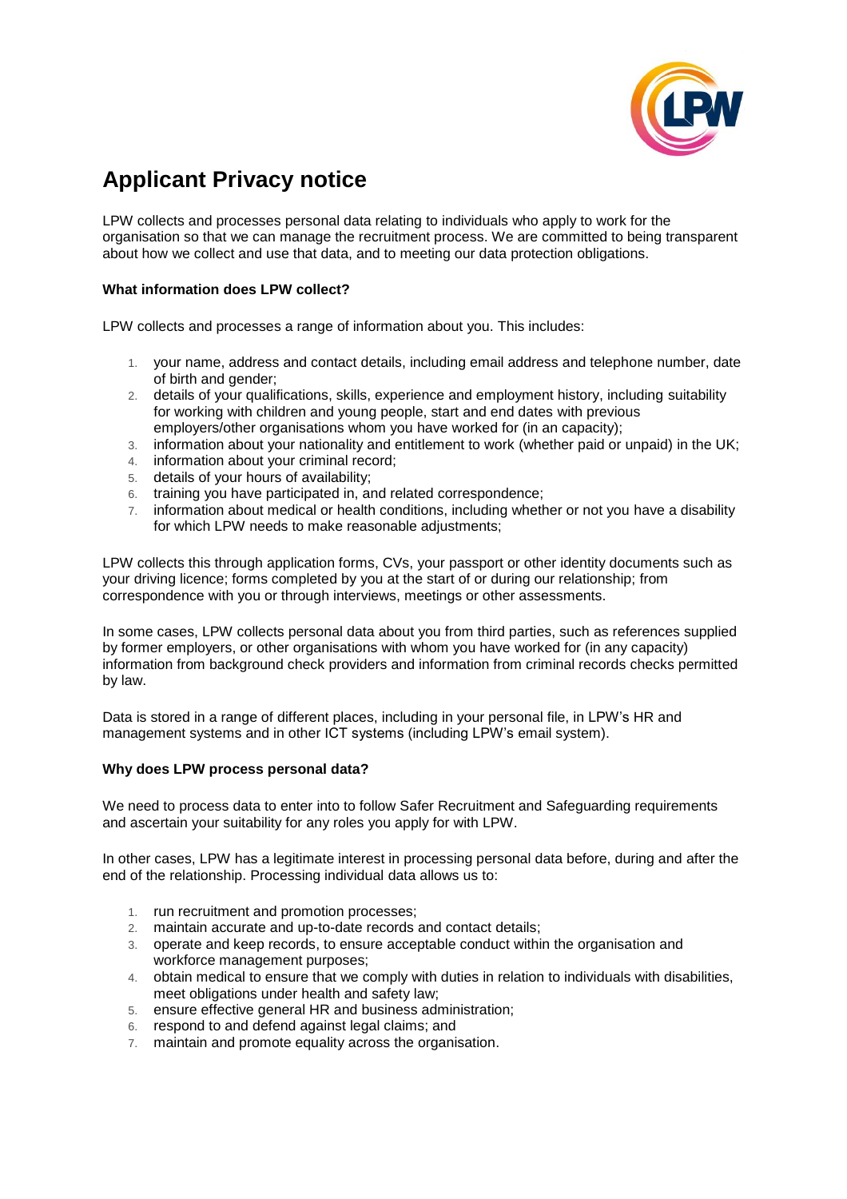

# **Applicant Privacy notice**

LPW collects and processes personal data relating to individuals who apply to work for the organisation so that we can manage the recruitment process. We are committed to being transparent about how we collect and use that data, and to meeting our data protection obligations.

## **What information does LPW collect?**

LPW collects and processes a range of information about you. This includes:

- 1. your name, address and contact details, including email address and telephone number, date of birth and gender;
- 2. details of your qualifications, skills, experience and employment history, including suitability for working with children and young people, start and end dates with previous employers/other organisations whom you have worked for (in an capacity);
- 3. information about your nationality and entitlement to work (whether paid or unpaid) in the UK;
- 4. information about your criminal record;
- 5. details of your hours of availability;
- 6. training you have participated in, and related correspondence;
- 7. information about medical or health conditions, including whether or not you have a disability for which LPW needs to make reasonable adjustments;

LPW collects this through application forms, CVs, your passport or other identity documents such as your driving licence; forms completed by you at the start of or during our relationship; from correspondence with you or through interviews, meetings or other assessments.

In some cases, LPW collects personal data about you from third parties, such as references supplied by former employers, or other organisations with whom you have worked for (in any capacity) information from background check providers and information from criminal records checks permitted by law.

Data is stored in a range of different places, including in your personal file, in LPW's HR and management systems and in other ICT systems (including LPW's email system).

## **Why does LPW process personal data?**

We need to process data to enter into to follow Safer Recruitment and Safeguarding requirements and ascertain your suitability for any roles you apply for with LPW.

In other cases, LPW has a legitimate interest in processing personal data before, during and after the end of the relationship. Processing individual data allows us to:

- 1. run recruitment and promotion processes;
- 2. maintain accurate and up-to-date records and contact details;
- 3. operate and keep records, to ensure acceptable conduct within the organisation and workforce management purposes;
- 4. obtain medical to ensure that we comply with duties in relation to individuals with disabilities, meet obligations under health and safety law;
- 5. ensure effective general HR and business administration;
- 6. respond to and defend against legal claims; and
- 7. maintain and promote equality across the organisation.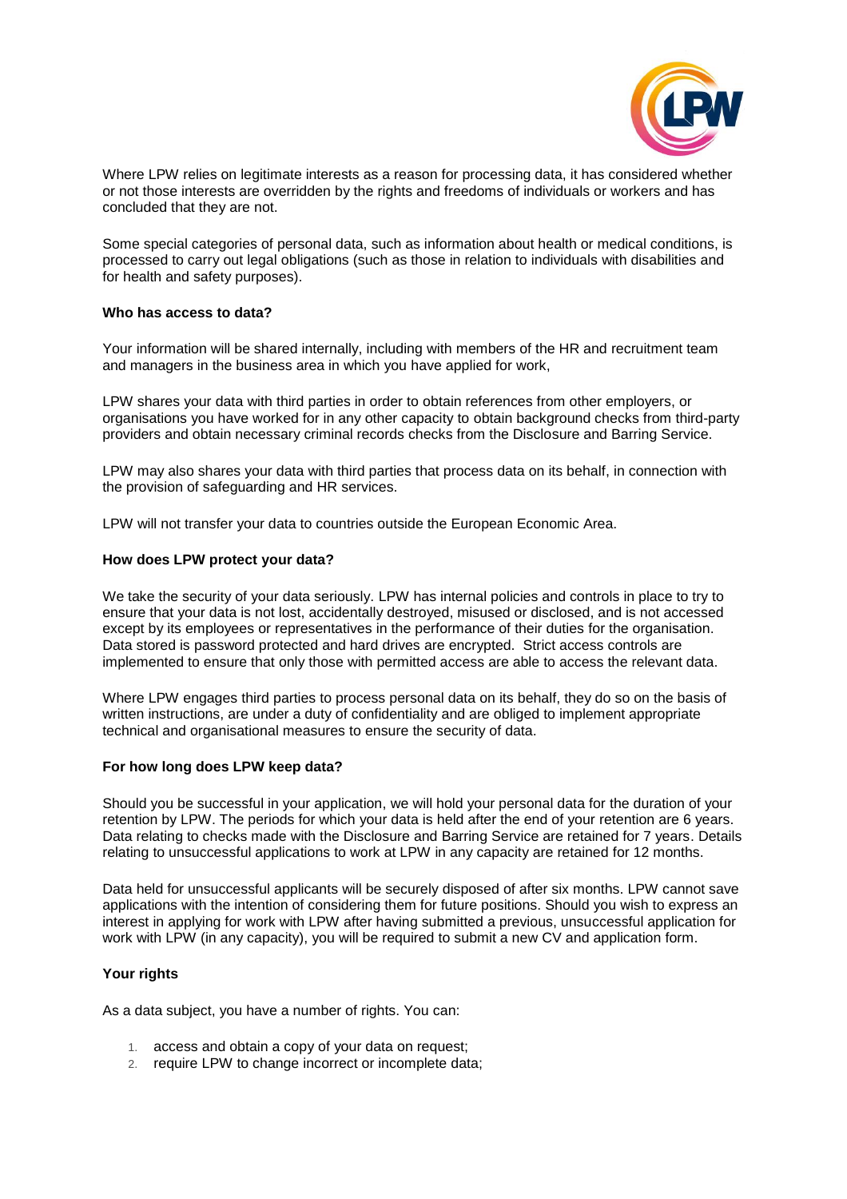

Where LPW relies on legitimate interests as a reason for processing data, it has considered whether or not those interests are overridden by the rights and freedoms of individuals or workers and has concluded that they are not.

Some special categories of personal data, such as information about health or medical conditions, is processed to carry out legal obligations (such as those in relation to individuals with disabilities and for health and safety purposes).

### **Who has access to data?**

Your information will be shared internally, including with members of the HR and recruitment team and managers in the business area in which you have applied for work,

LPW shares your data with third parties in order to obtain references from other employers, or organisations you have worked for in any other capacity to obtain background checks from third-party providers and obtain necessary criminal records checks from the Disclosure and Barring Service.

LPW may also shares your data with third parties that process data on its behalf, in connection with the provision of safeguarding and HR services.

LPW will not transfer your data to countries outside the European Economic Area.

### **How does LPW protect your data?**

We take the security of your data seriously. LPW has internal policies and controls in place to try to ensure that your data is not lost, accidentally destroyed, misused or disclosed, and is not accessed except by its employees or representatives in the performance of their duties for the organisation. Data stored is password protected and hard drives are encrypted. Strict access controls are implemented to ensure that only those with permitted access are able to access the relevant data.

Where LPW engages third parties to process personal data on its behalf, they do so on the basis of written instructions, are under a duty of confidentiality and are obliged to implement appropriate technical and organisational measures to ensure the security of data.

#### **For how long does LPW keep data?**

Should you be successful in your application, we will hold your personal data for the duration of your retention by LPW. The periods for which your data is held after the end of your retention are 6 years. Data relating to checks made with the Disclosure and Barring Service are retained for 7 years. Details relating to unsuccessful applications to work at LPW in any capacity are retained for 12 months.

Data held for unsuccessful applicants will be securely disposed of after six months. LPW cannot save applications with the intention of considering them for future positions. Should you wish to express an interest in applying for work with LPW after having submitted a previous, unsuccessful application for work with LPW (in any capacity), you will be required to submit a new CV and application form.

## **Your rights**

As a data subject, you have a number of rights. You can:

- 1. access and obtain a copy of your data on request;
- 2. require LPW to change incorrect or incomplete data;